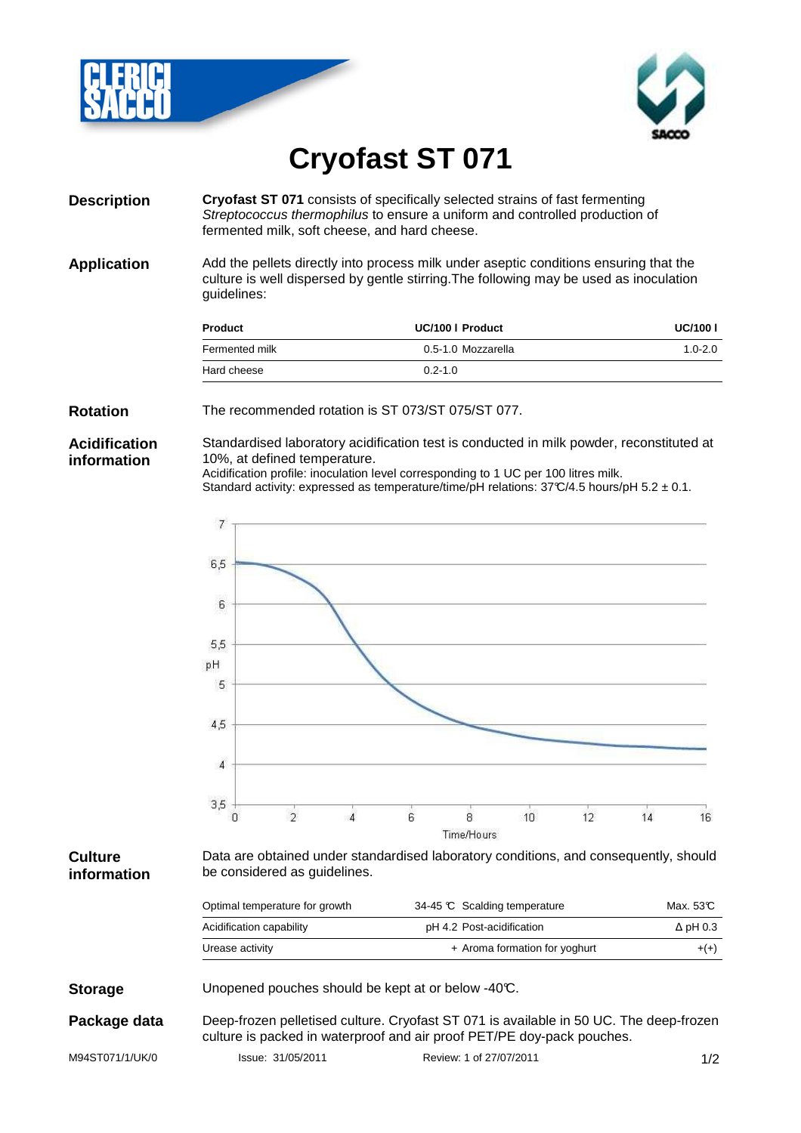



# **Cryofast ST 071**

**Description Cryofast ST 071** consists of specifically selected strains of fast fermenting Streptococcus thermophilus to ensure a uniform and controlled production of fermented milk, soft cheese, and hard cheese.

**Application** Add the pellets directly into process milk under aseptic conditions ensuring that the culture is well dispersed by gentle stirring.The following may be used as inoculation guidelines:

| <b>Product</b> | UC/100   Product   | <b>UC/100 I</b> |
|----------------|--------------------|-----------------|
| Fermented milk | 0.5-1.0 Mozzarella | $1.0 - 2.0$     |
| Hard cheese    | $0.2 - 1.0$        |                 |

#### **Rotation** The recommended rotation is ST 073/ST 075/ST 077.

### **Acidification information**

Standardised laboratory acidification test is conducted in milk powder, reconstituted at 10%, at defined temperature.

Acidification profile: inoculation level corresponding to 1 UC per 100 litres milk.

Standard activity: expressed as temperature/time/pH relations:  $37C/4.5$  hours/pH  $5.2 \pm 0.1$ .



#### **Culture information**

Data are obtained under standardised laboratory conditions, and consequently, should be considered as guidelines.

| Optimal temperature for growth | 34-45 C Scalding temperature  | Max. 53C        |
|--------------------------------|-------------------------------|-----------------|
| Acidification capability       | pH 4.2 Post-acidification     | $\Delta$ pH 0.3 |
| Urease activity                | + Aroma formation for yoghurt | $+(+)$          |

**Storage** Unopened pouches should be kept at or below -40°C.

**Package data** Deep-frozen pelletised culture. Cryofast ST 071 is available in 50 UC. The deep-frozen culture is packed in waterproof and air proof PET/PE doy-pack pouches.